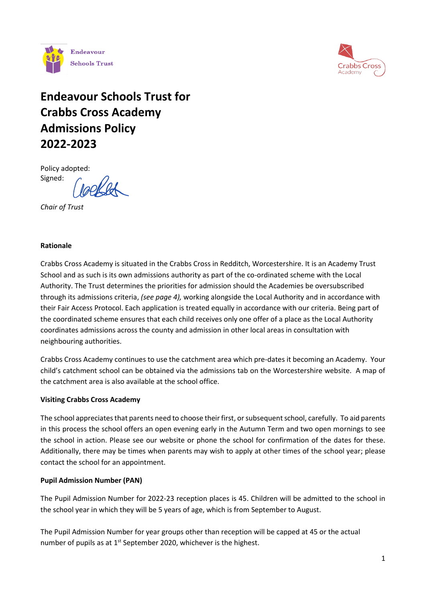



# **Endeavour Schools Trust for Crabbs Cross Academy Admissions Policy 2022-2023**

Policy adopted: Signed:

*Chair of Trust*

#### **Rationale**

Crabbs Cross Academy is situated in the Crabbs Cross in Redditch, Worcestershire. It is an Academy Trust School and as such is its own admissions authority as part of the co-ordinated scheme with the Local Authority. The Trust determines the priorities for admission should the Academies be oversubscribed through its admissions criteria, *(see page 4),* working alongside the Local Authority and in accordance with their Fair Access Protocol. Each application is treated equally in accordance with our criteria. Being part of the coordinated scheme ensures that each child receives only one offer of a place as the Local Authority coordinates admissions across the county and admission in other local areas in consultation with neighbouring authorities.

Crabbs Cross Academy continues to use the catchment area which pre-dates it becoming an Academy. Your child's catchment school can be obtained via the admissions tab on the Worcestershire website. A map of the catchment area is also available at the school office.

## **Visiting Crabbs Cross Academy**

The school appreciates that parents need to choose their first, or subsequent school, carefully. To aid parents in this process the school offers an open evening early in the Autumn Term and two open mornings to see the school in action. Please see our website or phone the school for confirmation of the dates for these. Additionally, there may be times when parents may wish to apply at other times of the school year; please contact the school for an appointment.

## **Pupil Admission Number (PAN)**

The Pupil Admission Number for 2022-23 reception places is 45. Children will be admitted to the school in the school year in which they will be 5 years of age, which is from September to August.

The Pupil Admission Number for year groups other than reception will be capped at 45 or the actual number of pupils as at  $1<sup>st</sup>$  September 2020, whichever is the highest.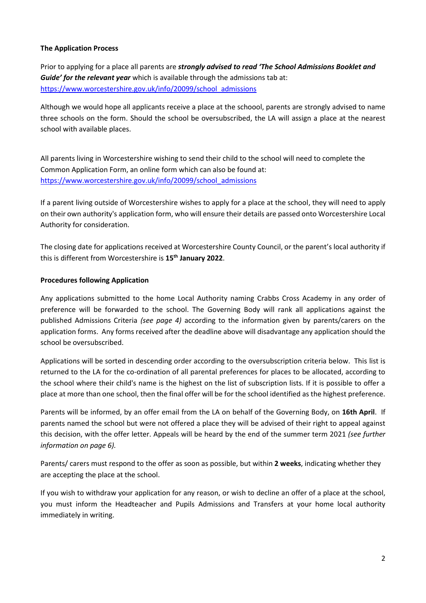## **The Application Process**

Prior to applying for a place all parents are *strongly advised to read 'The School Admissions Booklet and Guide' for the relevant year* which is available through the admissions tab at: [https://www.worcestershire.gov.uk/info/20099/school\\_admissions](https://www.worcestershire.gov.uk/info/20099/school_admissions)

Although we would hope all applicants receive a place at the schoool, parents are strongly advised to name three schools on the form. Should the school be oversubscribed, the LA will assign a place at the nearest school with available places.

All parents living in Worcestershire wishing to send their child to the school will need to complete the Common Application Form, an online form which can also be found at: [https://www.worcestershire.gov.uk/info/20099/school\\_admissions](https://www.worcestershire.gov.uk/info/20099/school_admissions)

If a parent living outside of Worcestershire wishes to apply for a place at the school, they will need to apply on their own authority's application form, who will ensure their details are passed onto Worcestershire Local Authority for consideration.

The closing date for applications received at Worcestershire County Council, or the parent's local authority if this is different from Worcestershire is **15th January 2022**.

#### **Procedures following Application**

Any applications submitted to the home Local Authority naming Crabbs Cross Academy in any order of preference will be forwarded to the school. The Governing Body will rank all applications against the published Admissions Criteria *(see page 4)* according to the information given by parents/carers on the application forms. Any forms received after the deadline above will disadvantage any application should the school be oversubscribed.

Applications will be sorted in descending order according to the oversubscription criteria below. This list is returned to the LA for the co-ordination of all parental preferences for places to be allocated, according to the school where their child's name is the highest on the list of subscription lists. If it is possible to offer a place at more than one school, then the final offer will be for the school identified as the highest preference.

Parents will be informed, by an offer email from the LA on behalf of the Governing Body, on **16th April**. If parents named the school but were not offered a place they will be advised of their right to appeal against this decision, with the offer letter. Appeals will be heard by the end of the summer term 2021 *(see further information on page 6).*

Parents/ carers must respond to the offer as soon as possible, but within **2 weeks**, indicating whether they are accepting the place at the school.

If you wish to withdraw your application for any reason, or wish to decline an offer of a place at the school, you must inform the Headteacher and Pupils Admissions and Transfers at your home local authority immediately in writing.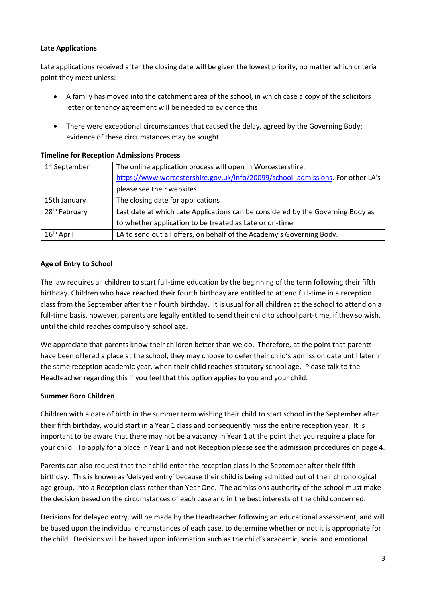## **Late Applications**

Late applications received after the closing date will be given the lowest priority, no matter which criteria point they meet unless:

- A family has moved into the catchment area of the school, in which case a copy of the solicitors letter or tenancy agreement will be needed to evidence this
- There were exceptional circumstances that caused the delay, agreed by the Governing Body; evidence of these circumstances may be sought

| 1 <sup>st</sup> September | The online application process will open in Worcestershire.                     |
|---------------------------|---------------------------------------------------------------------------------|
|                           | https://www.worcestershire.gov.uk/info/20099/school admissions. For other LA's  |
|                           | please see their websites                                                       |
| 15th January              | The closing date for applications                                               |
| 28 <sup>th</sup> February | Last date at which Late Applications can be considered by the Governing Body as |
|                           | to whether application to be treated as Late or on-time                         |
| 16 <sup>th</sup> April    | LA to send out all offers, on behalf of the Academy's Governing Body.           |

## **Timeline for Reception Admissions Process**

## **Age of Entry to School**

The law requires all children to start full-time education by the beginning of the term following their fifth birthday. Children who have reached their fourth birthday are entitled to attend full-time in a reception class from the September after their fourth birthday. It is usual for **all** children at the school to attend on a full-time basis, however, parents are legally entitled to send their child to school part-time, if they so wish, until the child reaches compulsory school age.

We appreciate that parents know their children better than we do. Therefore, at the point that parents have been offered a place at the school, they may choose to defer their child's admission date until later in the same reception academic year, when their child reaches statutory school age. Please talk to the Headteacher regarding this if you feel that this option applies to you and your child.

## **Summer Born Children**

Children with a date of birth in the summer term wishing their child to start school in the September after their fifth birthday, would start in a Year 1 class and consequently miss the entire reception year. It is important to be aware that there may not be a vacancy in Year 1 at the point that you require a place for your child. To apply for a place in Year 1 and not Reception please see the admission procedures on page 4.

Parents can also request that their child enter the reception class in the September after their fifth birthday. This is known as 'delayed entry' because their child is being admitted out of their chronological age group, into a Reception class rather than Year One. The admissions authority of the school must make the decision based on the circumstances of each case and in the best interests of the child concerned.

Decisions for delayed entry, will be made by the Headteacher following an educational assessment, and will be based upon the individual circumstances of each case, to determine whether or not it is appropriate for the child. Decisions will be based upon information such as the child's academic, social and emotional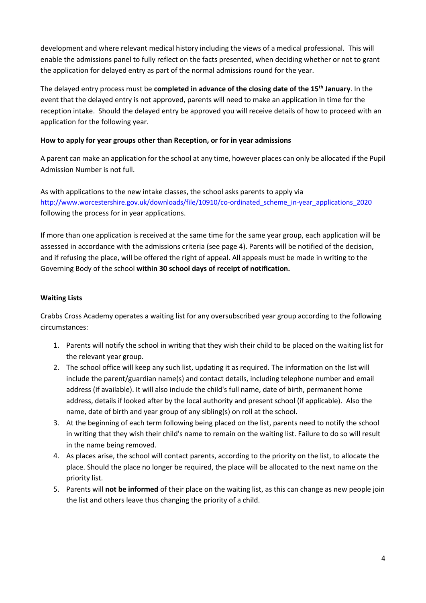development and where relevant medical history including the views of a medical professional. This will enable the admissions panel to fully reflect on the facts presented, when deciding whether or not to grant the application for delayed entry as part of the normal admissions round for the year.

The delayed entry process must be **completed in advance of the closing date of the 15th January**. In the event that the delayed entry is not approved, parents will need to make an application in time for the reception intake. Should the delayed entry be approved you will receive details of how to proceed with an application for the following year.

## **How to apply for year groups other than Reception, or for in year admissions**

A parent can make an application for the school at any time, however places can only be allocated if the Pupil Admission Number is not full.

As with applications to the new intake classes, the school asks parents to apply via [http://www.worcestershire.gov.uk/downloads/file/10910/co-ordinated\\_scheme\\_in-year\\_applications\\_2020](http://www.worcestershire.gov.uk/downloads/file/10910/co-ordinated_scheme_in-year_applications_2020) following the process for in year applications.

If more than one application is received at the same time for the same year group, each application will be assessed in accordance with the admissions criteria (see page 4). Parents will be notified of the decision, and if refusing the place, will be offered the right of appeal. All appeals must be made in writing to the Governing Body of the school **within 30 school days of receipt of notification.**

# **Waiting Lists**

Crabbs Cross Academy operates a waiting list for any oversubscribed year group according to the following circumstances:

- 1. Parents will notify the school in writing that they wish their child to be placed on the waiting list for the relevant year group.
- 2. The school office will keep any such list, updating it as required. The information on the list will include the parent/guardian name(s) and contact details, including telephone number and email address (if available). It will also include the child's full name, date of birth, permanent home address, details if looked after by the local authority and present school (if applicable). Also the name, date of birth and year group of any sibling(s) on roll at the school.
- 3. At the beginning of each term following being placed on the list, parents need to notify the school in writing that they wish their child's name to remain on the waiting list. Failure to do so will result in the name being removed.
- 4. As places arise, the school will contact parents, according to the priority on the list, to allocate the place. Should the place no longer be required, the place will be allocated to the next name on the priority list.
- 5. Parents will **not be informed** of their place on the waiting list, as this can change as new people join the list and others leave thus changing the priority of a child.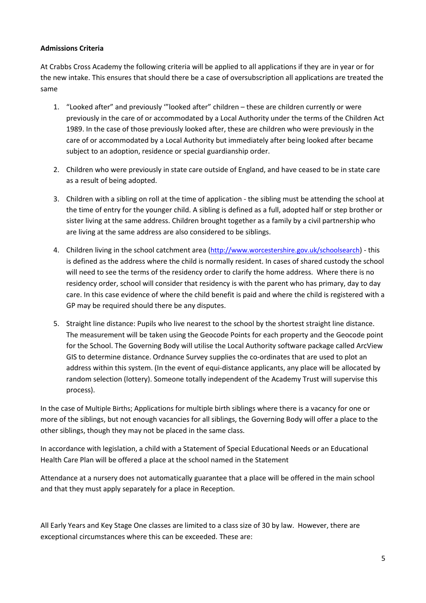## **Admissions Criteria**

At Crabbs Cross Academy the following criteria will be applied to all applications if they are in year or for the new intake. This ensures that should there be a case of oversubscription all applications are treated the same

- 1. "Looked after" and previously '"looked after" children these are children currently or were previously in the care of or accommodated by a Local Authority under the terms of the Children Act 1989. In the case of those previously looked after, these are children who were previously in the care of or accommodated by a Local Authority but immediately after being looked after became subject to an adoption, residence or special guardianship order.
- 2. Children who were previously in state care outside of England, and have ceased to be in state care as a result of being adopted.
- 3. Children with a sibling on roll at the time of application the sibling must be attending the school at the time of entry for the younger child. A sibling is defined as a full, adopted half or step brother or sister living at the same address. Children brought together as a family by a civil partnership who are living at the same address are also considered to be siblings.
- 4. Children living in the school catchment area (<http://www.worcestershire.gov.uk/schoolsearch>) this is defined as the address where the child is normally resident. In cases of shared custody the school will need to see the terms of the residency order to clarify the home address. Where there is no residency order, school will consider that residency is with the parent who has primary, day to day care. In this case evidence of where the child benefit is paid and where the child is registered with a GP may be required should there be any disputes.
- 5. Straight line distance: Pupils who live nearest to the school by the shortest straight line distance. The measurement will be taken using the Geocode Points for each property and the Geocode point for the School. The Governing Body will utilise the Local Authority software package called ArcView GIS to determine distance. Ordnance Survey supplies the co-ordinates that are used to plot an address within this system. (In the event of equi-distance applicants, any place will be allocated by random selection (lottery). Someone totally independent of the Academy Trust will supervise this process).

In the case of Multiple Births; Applications for multiple birth siblings where there is a vacancy for one or more of the siblings, but not enough vacancies for all siblings, the Governing Body will offer a place to the other siblings, though they may not be placed in the same class.

In accordance with legislation, a child with a Statement of Special Educational Needs or an Educational Health Care Plan will be offered a place at the school named in the Statement

Attendance at a nursery does not automatically guarantee that a place will be offered in the main school and that they must apply separately for a place in Reception.

All Early Years and Key Stage One classes are limited to a class size of 30 by law. However, there are exceptional circumstances where this can be exceeded. These are: